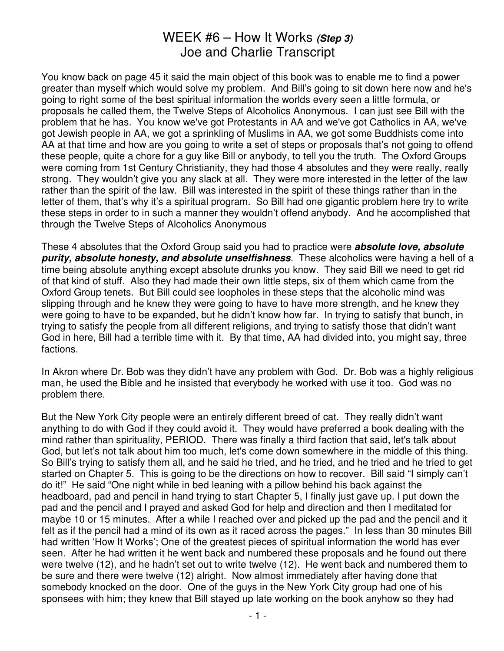You know back on page 45 it said the main object of this book was to enable me to find a power greater than myself which would solve my problem. And Bill's going to sit down here now and he's going to right some of the best spiritual information the worlds every seen a little formula, or proposals he called them, the Twelve Steps of Alcoholics Anonymous. I can just see Bill with the problem that he has. You know we've got Protestants in AA and we've got Catholics in AA, we've got Jewish people in AA, we got a sprinkling of Muslims in AA, we got some Buddhists come into AA at that time and how are you going to write a set of steps or proposals that's not going to offend these people, quite a chore for a guy like Bill or anybody, to tell you the truth. The Oxford Groups were coming from 1st Century Christianity, they had those 4 absolutes and they were really, really strong. They wouldn't give you any slack at all. They were more interested in the letter of the law rather than the spirit of the law. Bill was interested in the spirit of these things rather than in the letter of them, that's why it's a spiritual program. So Bill had one gigantic problem here try to write these steps in order to in such a manner they wouldn't offend anybody. And he accomplished that through the Twelve Steps of Alcoholics Anonymous

These 4 absolutes that the Oxford Group said you had to practice were **absolute love, absolute purity, absolute honesty, and absolute unselfishness**. These alcoholics were having a hell of a time being absolute anything except absolute drunks you know. They said Bill we need to get rid of that kind of stuff. Also they had made their own little steps, six of them which came from the Oxford Group tenets. But Bill could see loopholes in these steps that the alcoholic mind was slipping through and he knew they were going to have to have more strength, and he knew they were going to have to be expanded, but he didn't know how far. In trying to satisfy that bunch, in trying to satisfy the people from all different religions, and trying to satisfy those that didn't want God in here, Bill had a terrible time with it. By that time, AA had divided into, you might say, three factions.

In Akron where Dr. Bob was they didn't have any problem with God. Dr. Bob was a highly religious man, he used the Bible and he insisted that everybody he worked with use it too. God was no problem there.

But the New York City people were an entirely different breed of cat. They really didn't want anything to do with God if they could avoid it. They would have preferred a book dealing with the mind rather than spirituality, PERIOD. There was finally a third faction that said, let's talk about God, but let's not talk about him too much, let's come down somewhere in the middle of this thing. So Bill's trying to satisfy them all, and he said he tried, and he tried, and he tried and he tried to get started on Chapter 5. This is going to be the directions on how to recover. Bill said "I simply can't do it!" He said "One night while in bed leaning with a pillow behind his back against the headboard, pad and pencil in hand trying to start Chapter 5, I finally just gave up. I put down the pad and the pencil and I prayed and asked God for help and direction and then I meditated for maybe 10 or 15 minutes. After a while I reached over and picked up the pad and the pencil and it felt as if the pencil had a mind of its own as it raced across the pages." In less than 30 minutes Bill had written 'How It Works'; One of the greatest pieces of spiritual information the world has ever seen. After he had written it he went back and numbered these proposals and he found out there were twelve (12), and he hadn't set out to write twelve (12). He went back and numbered them to be sure and there were twelve (12) alright. Now almost immediately after having done that somebody knocked on the door. One of the guys in the New York City group had one of his sponsees with him; they knew that Bill stayed up late working on the book anyhow so they had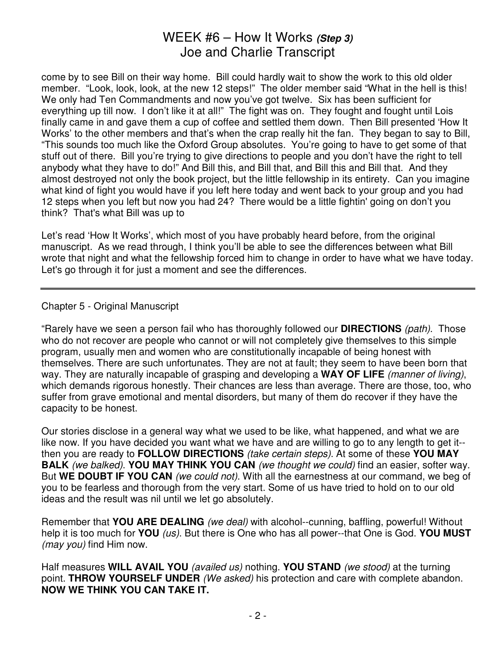come by to see Bill on their way home. Bill could hardly wait to show the work to this old older member. "Look, look, look, at the new 12 steps!" The older member said "What in the hell is this! We only had Ten Commandments and now you've got twelve. Six has been sufficient for everything up till now. I don't like it at all!" The fight was on. They fought and fought until Lois finally came in and gave them a cup of coffee and settled them down. Then Bill presented 'How It Works' to the other members and that's when the crap really hit the fan. They began to say to Bill, "This sounds too much like the Oxford Group absolutes. You're going to have to get some of that stuff out of there. Bill you're trying to give directions to people and you don't have the right to tell anybody what they have to do!" And Bill this, and Bill that, and Bill this and Bill that. And they almost destroyed not only the book project, but the little fellowship in its entirety. Can you imagine what kind of fight you would have if you left here today and went back to your group and you had 12 steps when you left but now you had 24? There would be a little fightin' going on don't you think? That's what Bill was up to

Let's read 'How It Works', which most of you have probably heard before, from the original manuscript. As we read through, I think you'll be able to see the differences between what Bill wrote that night and what the fellowship forced him to change in order to have what we have today. Let's go through it for just a moment and see the differences.

Chapter 5 - Original Manuscript

"Rarely have we seen a person fail who has thoroughly followed our **DIRECTIONS** (path). Those who do not recover are people who cannot or will not completely give themselves to this simple program, usually men and women who are constitutionally incapable of being honest with themselves. There are such unfortunates. They are not at fault; they seem to have been born that way. They are naturally incapable of grasping and developing a **WAY OF LIFE** (manner of living), which demands rigorous honestly. Their chances are less than average. There are those, too, who suffer from grave emotional and mental disorders, but many of them do recover if they have the capacity to be honest.

Our stories disclose in a general way what we used to be like, what happened, and what we are like now. If you have decided you want what we have and are willing to go to any length to get it-then you are ready to **FOLLOW DIRECTIONS** (take certain steps). At some of these **YOU MAY BALK** (we balked). **YOU MAY THINK YOU CAN** (we thought we could) find an easier, softer way. But **WE DOUBT IF YOU CAN** (we could not). With all the earnestness at our command, we beg of you to be fearless and thorough from the very start. Some of us have tried to hold on to our old ideas and the result was nil until we let go absolutely.

Remember that **YOU ARE DEALING** (we deal) with alcohol--cunning, baffling, powerful! Without help it is too much for **YOU** (us). But there is One who has all power--that One is God. **YOU MUST** (may you) find Him now.

Half measures **WILL AVAIL YOU** (availed us) nothing. **YOU STAND** (we stood) at the turning point. **THROW YOURSELF UNDER** (We asked) his protection and care with complete abandon. **NOW WE THINK YOU CAN TAKE IT.**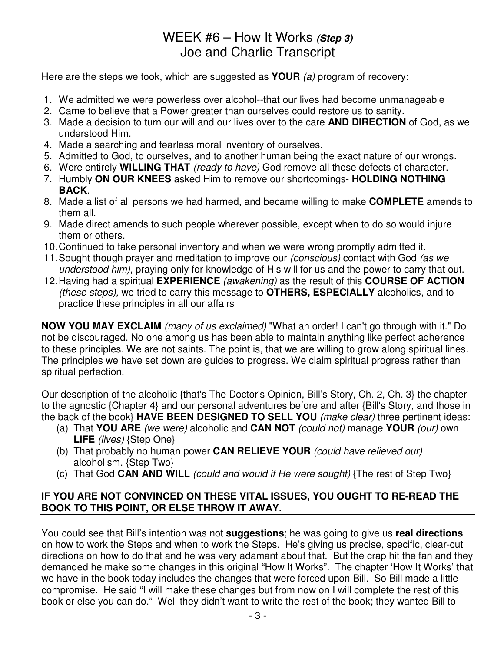Here are the steps we took, which are suggested as **YOUR** (a) program of recovery:

- 1. We admitted we were powerless over alcohol--that our lives had become unmanageable
- 2. Came to believe that a Power greater than ourselves could restore us to sanity.
- 3. Made a decision to turn our will and our lives over to the care **AND DIRECTION** of God, as we understood Him.
- 4. Made a searching and fearless moral inventory of ourselves.
- 5. Admitted to God, to ourselves, and to another human being the exact nature of our wrongs.
- 6. Were entirely **WILLING THAT** (ready to have) God remove all these defects of character.
- 7. Humbly **ON OUR KNEES** asked Him to remove our shortcomings- **HOLDING NOTHING BACK**.
- 8. Made a list of all persons we had harmed, and became willing to make **COMPLETE** amends to them all.
- 9. Made direct amends to such people wherever possible, except when to do so would injure them or others.
- 10. Continued to take personal inventory and when we were wrong promptly admitted it.
- 11. Sought though prayer and meditation to improve our *(conscious)* contact with God *(as we* understood him), praying only for knowledge of His will for us and the power to carry that out.
- 12. Having had a spiritual **EXPERIENCE** (awakening) as the result of this **COURSE OF ACTION** (these steps), we tried to carry this message to **OTHERS, ESPECIALLY** alcoholics, and to practice these principles in all our affairs

**NOW YOU MAY EXCLAIM** (many of us exclaimed) "What an order! I can't go through with it." Do not be discouraged. No one among us has been able to maintain anything like perfect adherence to these principles. We are not saints. The point is, that we are willing to grow along spiritual lines. The principles we have set down are guides to progress. We claim spiritual progress rather than spiritual perfection.

Our description of the alcoholic {that's The Doctor's Opinion, Bill's Story, Ch. 2, Ch. 3} the chapter to the agnostic {Chapter 4} and our personal adventures before and after {Bill's Story, and those in the back of the book} **HAVE BEEN DESIGNED TO SELL YOU** (make clear) three pertinent ideas:

- (a) That **YOU ARE** (we were) alcoholic and **CAN NOT** (could not) manage **YOUR** (our) own LIFE (lives) {Step One}
- (b) That probably no human power **CAN RELIEVE YOUR** (could have relieved our) alcoholism. {Step Two}
- (c) That God **CAN AND WILL** (could and would if He were sought) {The rest of Step Two}

### **IF YOU ARE NOT CONVINCED ON THESE VITAL ISSUES, YOU OUGHT TO RE-READ THE BOOK TO THIS POINT, OR ELSE THROW IT AWAY.**

You could see that Bill's intention was not **suggestions**; he was going to give us **real directions** on how to work the Steps and when to work the Steps. He's giving us precise, specific, clear-cut directions on how to do that and he was very adamant about that. But the crap hit the fan and they demanded he make some changes in this original "How It Works". The chapter 'How It Works' that we have in the book today includes the changes that were forced upon Bill. So Bill made a little compromise. He said "I will make these changes but from now on I will complete the rest of this book or else you can do." Well they didn't want to write the rest of the book; they wanted Bill to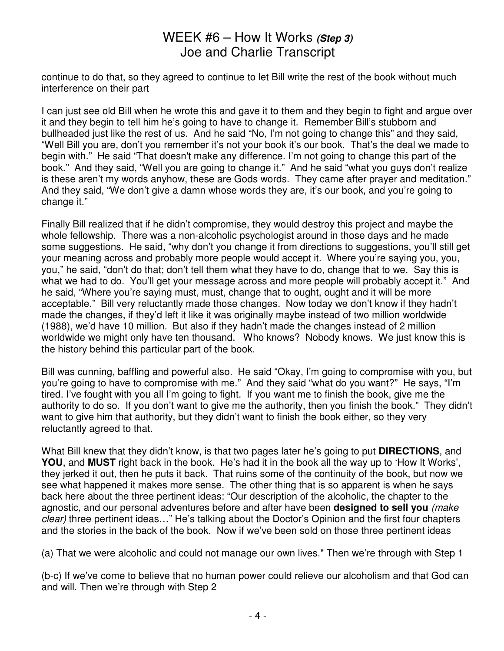continue to do that, so they agreed to continue to let Bill write the rest of the book without much interference on their part

I can just see old Bill when he wrote this and gave it to them and they begin to fight and argue over it and they begin to tell him he's going to have to change it. Remember Bill's stubborn and bullheaded just like the rest of us. And he said "No, I'm not going to change this" and they said, "Well Bill you are, don't you remember it's not your book it's our book. That's the deal we made to begin with." He said "That doesn't make any difference. I'm not going to change this part of the book." And they said, "Well you are going to change it." And he said "what you guys don't realize is these aren't my words anyhow, these are Gods words. They came after prayer and meditation." And they said, "We don't give a damn whose words they are, it's our book, and you're going to change it."

Finally Bill realized that if he didn't compromise, they would destroy this project and maybe the whole fellowship. There was a non-alcoholic psychologist around in those days and he made some suggestions. He said, "why don't you change it from directions to suggestions, you'll still get your meaning across and probably more people would accept it. Where you're saying you, you, you," he said, "don't do that; don't tell them what they have to do, change that to we. Say this is what we had to do. You'll get your message across and more people will probably accept it." And he said, "Where you're saying must, must, change that to ought, ought and it will be more acceptable." Bill very reluctantly made those changes. Now today we don't know if they hadn't made the changes, if they'd left it like it was originally maybe instead of two million worldwide (1988), we'd have 10 million. But also if they hadn't made the changes instead of 2 million worldwide we might only have ten thousand. Who knows? Nobody knows. We just know this is the history behind this particular part of the book.

Bill was cunning, baffling and powerful also. He said "Okay, I'm going to compromise with you, but you're going to have to compromise with me." And they said "what do you want?" He says, "I'm tired. I've fought with you all I'm going to fight. If you want me to finish the book, give me the authority to do so. If you don't want to give me the authority, then you finish the book." They didn't want to give him that authority, but they didn't want to finish the book either, so they very reluctantly agreed to that.

What Bill knew that they didn't know, is that two pages later he's going to put **DIRECTIONS**, and **YOU**, and **MUST** right back in the book. He's had it in the book all the way up to 'How It Works', they jerked it out, then he puts it back. That ruins some of the continuity of the book, but now we see what happened it makes more sense. The other thing that is so apparent is when he says back here about the three pertinent ideas: "Our description of the alcoholic, the chapter to the agnostic, and our personal adventures before and after have been **designed to sell you** (make clear) three pertinent ideas..." He's talking about the Doctor's Opinion and the first four chapters and the stories in the back of the book. Now if we've been sold on those three pertinent ideas

(a) That we were alcoholic and could not manage our own lives." Then we're through with Step 1

(b-c) If we've come to believe that no human power could relieve our alcoholism and that God can and will. Then we're through with Step 2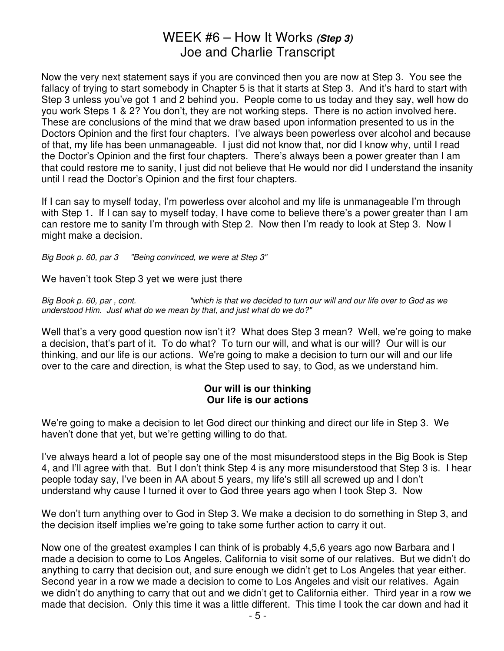Now the very next statement says if you are convinced then you are now at Step 3. You see the fallacy of trying to start somebody in Chapter 5 is that it starts at Step 3. And it's hard to start with Step 3 unless you've got 1 and 2 behind you. People come to us today and they say, well how do you work Steps 1 & 2? You don't, they are not working steps. There is no action involved here. These are conclusions of the mind that we draw based upon information presented to us in the Doctors Opinion and the first four chapters. I've always been powerless over alcohol and because of that, my life has been unmanageable. I just did not know that, nor did I know why, until I read the Doctor's Opinion and the first four chapters. There's always been a power greater than I am that could restore me to sanity, I just did not believe that He would nor did I understand the insanity until I read the Doctor's Opinion and the first four chapters.

If I can say to myself today, I'm powerless over alcohol and my life is unmanageable I'm through with Step 1. If I can say to myself today, I have come to believe there's a power greater than I am can restore me to sanity I'm through with Step 2. Now then I'm ready to look at Step 3. Now I might make a decision.

Big Book p. 60, par 3 "Being convinced, we were at Step 3"

We haven't took Step 3 yet we were just there

Big Book p. 60, par , cont. "which is that we decided to turn our will and our life over to God as we understood Him. Just what do we mean by that, and just what do we do?"

Well that's a very good question now isn't it? What does Step 3 mean? Well, we're going to make a decision, that's part of it. To do what? To turn our will, and what is our will? Our will is our thinking, and our life is our actions. We're going to make a decision to turn our will and our life over to the care and direction, is what the Step used to say, to God, as we understand him.

#### **Our will is our thinking Our life is our actions**

We're going to make a decision to let God direct our thinking and direct our life in Step 3. We haven't done that yet, but we're getting willing to do that.

I've always heard a lot of people say one of the most misunderstood steps in the Big Book is Step 4, and I'll agree with that. But I don't think Step 4 is any more misunderstood that Step 3 is. I hear people today say, I've been in AA about 5 years, my life's still all screwed up and I don't understand why cause I turned it over to God three years ago when I took Step 3. Now

We don't turn anything over to God in Step 3. We make a decision to do something in Step 3, and the decision itself implies we're going to take some further action to carry it out.

Now one of the greatest examples I can think of is probably 4,5,6 years ago now Barbara and I made a decision to come to Los Angeles, California to visit some of our relatives. But we didn't do anything to carry that decision out, and sure enough we didn't get to Los Angeles that year either. Second year in a row we made a decision to come to Los Angeles and visit our relatives. Again we didn't do anything to carry that out and we didn't get to California either. Third year in a row we made that decision. Only this time it was a little different. This time I took the car down and had it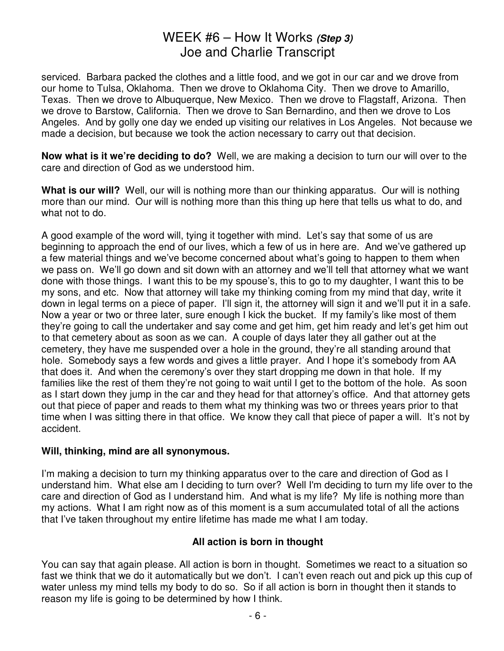serviced. Barbara packed the clothes and a little food, and we got in our car and we drove from our home to Tulsa, Oklahoma. Then we drove to Oklahoma City. Then we drove to Amarillo, Texas. Then we drove to Albuquerque, New Mexico. Then we drove to Flagstaff, Arizona. Then we drove to Barstow, California. Then we drove to San Bernardino, and then we drove to Los Angeles. And by golly one day we ended up visiting our relatives in Los Angeles. Not because we made a decision, but because we took the action necessary to carry out that decision.

**Now what is it we're deciding to do?** Well, we are making a decision to turn our will over to the care and direction of God as we understood him.

**What is our will?** Well, our will is nothing more than our thinking apparatus. Our will is nothing more than our mind. Our will is nothing more than this thing up here that tells us what to do, and what not to do.

A good example of the word will, tying it together with mind. Let's say that some of us are beginning to approach the end of our lives, which a few of us in here are. And we've gathered up a few material things and we've become concerned about what's going to happen to them when we pass on. We'll go down and sit down with an attorney and we'll tell that attorney what we want done with those things. I want this to be my spouse's, this to go to my daughter, I want this to be my sons, and etc. Now that attorney will take my thinking coming from my mind that day, write it down in legal terms on a piece of paper. I'll sign it, the attorney will sign it and we'll put it in a safe. Now a year or two or three later, sure enough I kick the bucket. If my family's like most of them they're going to call the undertaker and say come and get him, get him ready and let's get him out to that cemetery about as soon as we can. A couple of days later they all gather out at the cemetery, they have me suspended over a hole in the ground, they're all standing around that hole. Somebody says a few words and gives a little prayer. And I hope it's somebody from AA that does it. And when the ceremony's over they start dropping me down in that hole. If my families like the rest of them they're not going to wait until I get to the bottom of the hole. As soon as I start down they jump in the car and they head for that attorney's office. And that attorney gets out that piece of paper and reads to them what my thinking was two or threes years prior to that time when I was sitting there in that office. We know they call that piece of paper a will. It's not by accident.

#### **Will, thinking, mind are all synonymous.**

I'm making a decision to turn my thinking apparatus over to the care and direction of God as I understand him. What else am I deciding to turn over? Well I'm deciding to turn my life over to the care and direction of God as I understand him. And what is my life? My life is nothing more than my actions. What I am right now as of this moment is a sum accumulated total of all the actions that I've taken throughout my entire lifetime has made me what I am today.

### **All action is born in thought**

You can say that again please. All action is born in thought. Sometimes we react to a situation so fast we think that we do it automatically but we don't. I can't even reach out and pick up this cup of water unless my mind tells my body to do so. So if all action is born in thought then it stands to reason my life is going to be determined by how I think.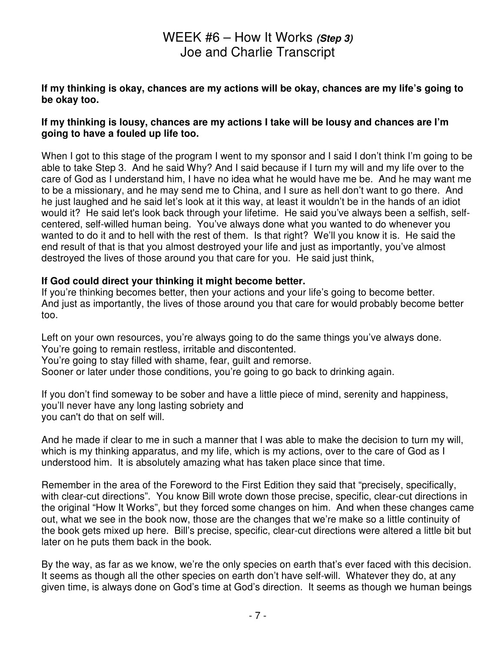#### **If my thinking is okay, chances are my actions will be okay, chances are my life's going to be okay too.**

#### **If my thinking is lousy, chances are my actions I take will be lousy and chances are I'm going to have a fouled up life too.**

When I got to this stage of the program I went to my sponsor and I said I don't think I'm going to be able to take Step 3. And he said Why? And I said because if I turn my will and my life over to the care of God as I understand him, I have no idea what he would have me be. And he may want me to be a missionary, and he may send me to China, and I sure as hell don't want to go there. And he just laughed and he said let's look at it this way, at least it wouldn't be in the hands of an idiot would it? He said let's look back through your lifetime. He said you've always been a selfish, selfcentered, self-willed human being. You've always done what you wanted to do whenever you wanted to do it and to hell with the rest of them. Is that right? We'll you know it is. He said the end result of that is that you almost destroyed your life and just as importantly, you've almost destroyed the lives of those around you that care for you. He said just think,

#### **If God could direct your thinking it might become better.**

If you're thinking becomes better, then your actions and your life's going to become better. And just as importantly, the lives of those around you that care for would probably become better too.

Left on your own resources, you're always going to do the same things you've always done. You're going to remain restless, irritable and discontented. You're going to stay filled with shame, fear, guilt and remorse. Sooner or later under those conditions, you're going to go back to drinking again.

If you don't find someway to be sober and have a little piece of mind, serenity and happiness, you'll never have any long lasting sobriety and you can't do that on self will.

And he made if clear to me in such a manner that I was able to make the decision to turn my will, which is my thinking apparatus, and my life, which is my actions, over to the care of God as I understood him. It is absolutely amazing what has taken place since that time.

Remember in the area of the Foreword to the First Edition they said that "precisely, specifically, with clear-cut directions". You know Bill wrote down those precise, specific, clear-cut directions in the original "How It Works", but they forced some changes on him. And when these changes came out, what we see in the book now, those are the changes that we're make so a little continuity of the book gets mixed up here. Bill's precise, specific, clear-cut directions were altered a little bit but later on he puts them back in the book.

By the way, as far as we know, we're the only species on earth that's ever faced with this decision. It seems as though all the other species on earth don't have self-will. Whatever they do, at any given time, is always done on God's time at God's direction. It seems as though we human beings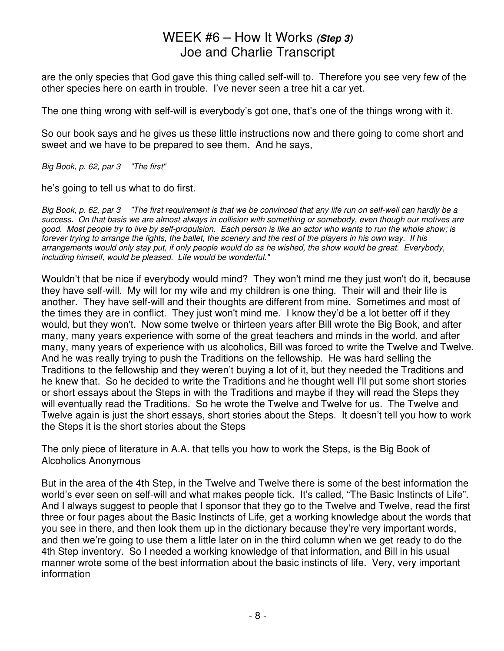are the only species that God gave this thing called self-will to. Therefore you see very few of the other species here on earth in trouble. I've never seen a tree hit a car yet.

The one thing wrong with self-will is everybody's got one, that's one of the things wrong with it.

So our book says and he gives us these little instructions now and there going to come short and sweet and we have to be prepared to see them. And he says,

Big Book, p. 62, par 3 "The first"

he's going to tell us what to do first.

Big Book, p. 62, par 3 "The first requirement is that we be convinced that any life run on self-well can hardly be a success. On that basis we are almost always in collision with something or somebody, even though our motives are good. Most people try to live by self-propulsion. Each person is like an actor who wants to run the whole show; is forever trying to arrange the lights, the ballet, the scenery and the rest of the players in his own way. If his arrangements would only stay put, if only people would do as he wished, the show would be great. Everybody, including himself, would be pleased. Life would be wonderful."

Wouldn't that be nice if everybody would mind? They won't mind me they just won't do it, because they have self-will. My will for my wife and my children is one thing. Their will and their life is another. They have self-will and their thoughts are different from mine. Sometimes and most of the times they are in conflict. They just won't mind me. I know they'd be a lot better off if they would, but they won't. Now some twelve or thirteen years after Bill wrote the Big Book, and after many, many years experience with some of the great teachers and minds in the world, and after many, many years of experience with us alcoholics, Bill was forced to write the Twelve and Twelve. And he was really trying to push the Traditions on the fellowship. He was hard selling the Traditions to the fellowship and they weren't buying a lot of it, but they needed the Traditions and he knew that. So he decided to write the Traditions and he thought well I'll put some short stories or short essays about the Steps in with the Traditions and maybe if they will read the Steps they will eventually read the Traditions. So he wrote the Twelve and Twelve for us. The Twelve and Twelve again is just the short essays, short stories about the Steps. It doesn't tell you how to work the Steps it is the short stories about the Steps

The only piece of literature in A.A. that tells you how to work the Steps, is the Big Book of Alcoholics Anonymous

But in the area of the 4th Step, in the Twelve and Twelve there is some of the best information the world's ever seen on self-will and what makes people tick. It's called, "The Basic Instincts of Life". And I always suggest to people that I sponsor that they go to the Twelve and Twelve, read the first three or four pages about the Basic Instincts of Life, get a working knowledge about the words that you see in there, and then look them up in the dictionary because they're very important words, and then we're going to use them a little later on in the third column when we get ready to do the 4th Step inventory. So I needed a working knowledge of that information, and Bill in his usual manner wrote some of the best information about the basic instincts of life. Very, very important information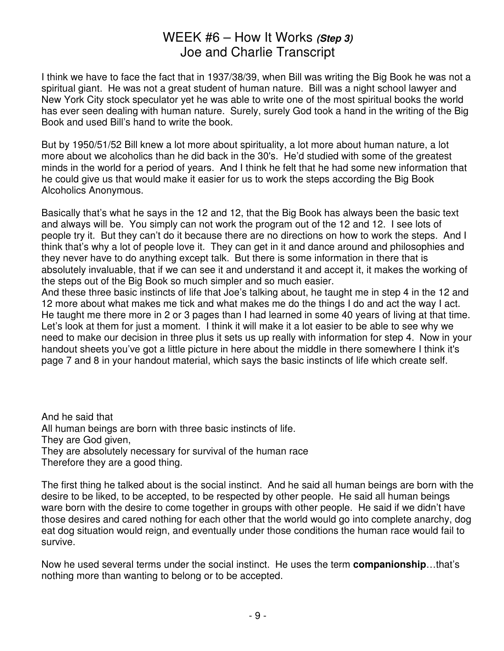I think we have to face the fact that in 1937/38/39, when Bill was writing the Big Book he was not a spiritual giant. He was not a great student of human nature. Bill was a night school lawyer and New York City stock speculator yet he was able to write one of the most spiritual books the world has ever seen dealing with human nature. Surely, surely God took a hand in the writing of the Big Book and used Bill's hand to write the book.

But by 1950/51/52 Bill knew a lot more about spirituality, a lot more about human nature, a lot more about we alcoholics than he did back in the 30's. He'd studied with some of the greatest minds in the world for a period of years. And I think he felt that he had some new information that he could give us that would make it easier for us to work the steps according the Big Book Alcoholics Anonymous.

Basically that's what he says in the 12 and 12, that the Big Book has always been the basic text and always will be. You simply can not work the program out of the 12 and 12. I see lots of people try it. But they can't do it because there are no directions on how to work the steps. And I think that's why a lot of people love it. They can get in it and dance around and philosophies and they never have to do anything except talk. But there is some information in there that is absolutely invaluable, that if we can see it and understand it and accept it, it makes the working of the steps out of the Big Book so much simpler and so much easier.

And these three basic instincts of life that Joe's talking about, he taught me in step 4 in the 12 and 12 more about what makes me tick and what makes me do the things I do and act the way I act. He taught me there more in 2 or 3 pages than I had learned in some 40 years of living at that time. Let's look at them for just a moment. I think it will make it a lot easier to be able to see why we need to make our decision in three plus it sets us up really with information for step 4. Now in your handout sheets you've got a little picture in here about the middle in there somewhere I think it's page 7 and 8 in your handout material, which says the basic instincts of life which create self.

And he said that All human beings are born with three basic instincts of life. They are God given, They are absolutely necessary for survival of the human race Therefore they are a good thing.

The first thing he talked about is the social instinct. And he said all human beings are born with the desire to be liked, to be accepted, to be respected by other people. He said all human beings ware born with the desire to come together in groups with other people. He said if we didn't have those desires and cared nothing for each other that the world would go into complete anarchy, dog eat dog situation would reign, and eventually under those conditions the human race would fail to survive.

Now he used several terms under the social instinct. He uses the term **companionship**…that's nothing more than wanting to belong or to be accepted.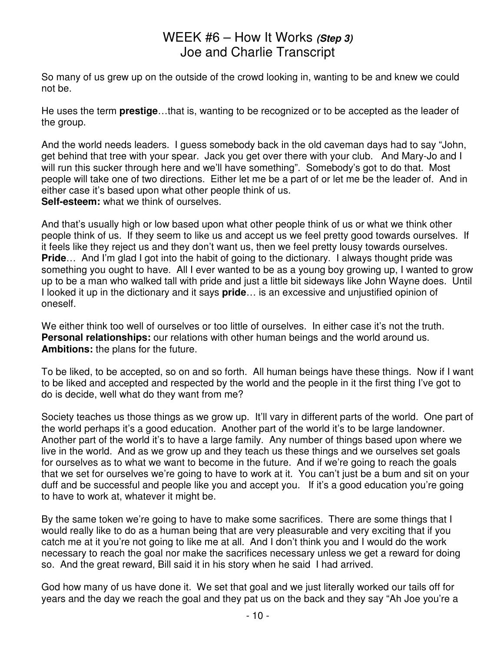So many of us grew up on the outside of the crowd looking in, wanting to be and knew we could not be.

He uses the term **prestige**…that is, wanting to be recognized or to be accepted as the leader of the group.

And the world needs leaders. I guess somebody back in the old caveman days had to say "John, get behind that tree with your spear. Jack you get over there with your club. And Mary-Jo and I will run this sucker through here and we'll have something". Somebody's got to do that. Most people will take one of two directions. Either let me be a part of or let me be the leader of. And in either case it's based upon what other people think of us.

**Self-esteem:** what we think of ourselves.

And that's usually high or low based upon what other people think of us or what we think other people think of us. If they seem to like us and accept us we feel pretty good towards ourselves. If it feels like they reject us and they don't want us, then we feel pretty lousy towards ourselves. **Pride**... And I'm glad I got into the habit of going to the dictionary. I always thought pride was something you ought to have. All I ever wanted to be as a young boy growing up, I wanted to grow up to be a man who walked tall with pride and just a little bit sideways like John Wayne does. Until I looked it up in the dictionary and it says **pride**… is an excessive and unjustified opinion of oneself.

We either think too well of ourselves or too little of ourselves. In either case it's not the truth. **Personal relationships:** our relations with other human beings and the world around us. **Ambitions:** the plans for the future.

To be liked, to be accepted, so on and so forth. All human beings have these things. Now if I want to be liked and accepted and respected by the world and the people in it the first thing I've got to do is decide, well what do they want from me?

Society teaches us those things as we grow up. It'll vary in different parts of the world. One part of the world perhaps it's a good education. Another part of the world it's to be large landowner. Another part of the world it's to have a large family. Any number of things based upon where we live in the world. And as we grow up and they teach us these things and we ourselves set goals for ourselves as to what we want to become in the future. And if we're going to reach the goals that we set for ourselves we're going to have to work at it. You can't just be a bum and sit on your duff and be successful and people like you and accept you. If it's a good education you're going to have to work at, whatever it might be.

By the same token we're going to have to make some sacrifices. There are some things that I would really like to do as a human being that are very pleasurable and very exciting that if you catch me at it you're not going to like me at all. And I don't think you and I would do the work necessary to reach the goal nor make the sacrifices necessary unless we get a reward for doing so. And the great reward, Bill said it in his story when he said I had arrived.

God how many of us have done it. We set that goal and we just literally worked our tails off for years and the day we reach the goal and they pat us on the back and they say "Ah Joe you're a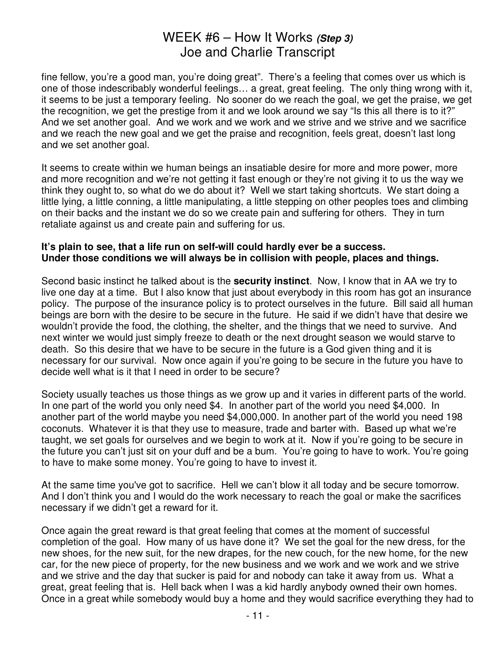fine fellow, you're a good man, you're doing great". There's a feeling that comes over us which is one of those indescribably wonderful feelings… a great, great feeling. The only thing wrong with it, it seems to be just a temporary feeling. No sooner do we reach the goal, we get the praise, we get the recognition, we get the prestige from it and we look around we say "Is this all there is to it?" And we set another goal. And we work and we work and we strive and we strive and we sacrifice and we reach the new goal and we get the praise and recognition, feels great, doesn't last long and we set another goal.

It seems to create within we human beings an insatiable desire for more and more power, more and more recognition and we're not getting it fast enough or they're not giving it to us the way we think they ought to, so what do we do about it? Well we start taking shortcuts. We start doing a little lying, a little conning, a little manipulating, a little stepping on other peoples toes and climbing on their backs and the instant we do so we create pain and suffering for others. They in turn retaliate against us and create pain and suffering for us.

#### **It's plain to see, that a life run on self-will could hardly ever be a success. Under those conditions we will always be in collision with people, places and things.**

Second basic instinct he talked about is the **security instinct**. Now, I know that in AA we try to live one day at a time. But I also know that just about everybody in this room has got an insurance policy. The purpose of the insurance policy is to protect ourselves in the future. Bill said all human beings are born with the desire to be secure in the future. He said if we didn't have that desire we wouldn't provide the food, the clothing, the shelter, and the things that we need to survive. And next winter we would just simply freeze to death or the next drought season we would starve to death. So this desire that we have to be secure in the future is a God given thing and it is necessary for our survival. Now once again if you're going to be secure in the future you have to decide well what is it that I need in order to be secure?

Society usually teaches us those things as we grow up and it varies in different parts of the world. In one part of the world you only need \$4. In another part of the world you need \$4,000. In another part of the world maybe you need \$4,000,000. In another part of the world you need 198 coconuts. Whatever it is that they use to measure, trade and barter with. Based up what we're taught, we set goals for ourselves and we begin to work at it. Now if you're going to be secure in the future you can't just sit on your duff and be a bum. You're going to have to work. You're going to have to make some money. You're going to have to invest it.

At the same time you've got to sacrifice. Hell we can't blow it all today and be secure tomorrow. And I don't think you and I would do the work necessary to reach the goal or make the sacrifices necessary if we didn't get a reward for it.

Once again the great reward is that great feeling that comes at the moment of successful completion of the goal. How many of us have done it? We set the goal for the new dress, for the new shoes, for the new suit, for the new drapes, for the new couch, for the new home, for the new car, for the new piece of property, for the new business and we work and we work and we strive and we strive and the day that sucker is paid for and nobody can take it away from us. What a great, great feeling that is. Hell back when I was a kid hardly anybody owned their own homes. Once in a great while somebody would buy a home and they would sacrifice everything they had to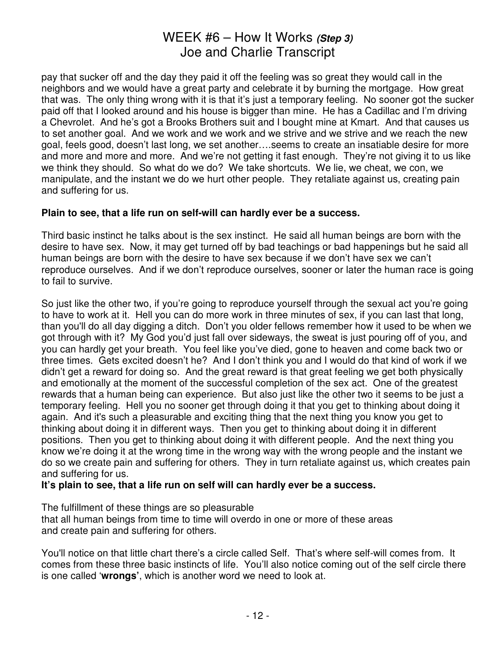pay that sucker off and the day they paid it off the feeling was so great they would call in the neighbors and we would have a great party and celebrate it by burning the mortgage. How great that was. The only thing wrong with it is that it's just a temporary feeling. No sooner got the sucker paid off that I looked around and his house is bigger than mine. He has a Cadillac and I'm driving a Chevrolet. And he's got a Brooks Brothers suit and I bought mine at Kmart. And that causes us to set another goal. And we work and we work and we strive and we strive and we reach the new goal, feels good, doesn't last long, we set another….seems to create an insatiable desire for more and more and more and more. And we're not getting it fast enough. They're not giving it to us like we think they should. So what do we do? We take shortcuts. We lie, we cheat, we con, we manipulate, and the instant we do we hurt other people. They retaliate against us, creating pain and suffering for us.

#### **Plain to see, that a life run on self-will can hardly ever be a success.**

Third basic instinct he talks about is the sex instinct. He said all human beings are born with the desire to have sex. Now, it may get turned off by bad teachings or bad happenings but he said all human beings are born with the desire to have sex because if we don't have sex we can't reproduce ourselves. And if we don't reproduce ourselves, sooner or later the human race is going to fail to survive.

So just like the other two, if you're going to reproduce yourself through the sexual act you're going to have to work at it. Hell you can do more work in three minutes of sex, if you can last that long, than you'll do all day digging a ditch. Don't you older fellows remember how it used to be when we got through with it? My God you'd just fall over sideways, the sweat is just pouring off of you, and you can hardly get your breath. You feel like you've died, gone to heaven and come back two or three times. Gets excited doesn't he? And I don't think you and I would do that kind of work if we didn't get a reward for doing so. And the great reward is that great feeling we get both physically and emotionally at the moment of the successful completion of the sex act. One of the greatest rewards that a human being can experience. But also just like the other two it seems to be just a temporary feeling. Hell you no sooner get through doing it that you get to thinking about doing it again. And it's such a pleasurable and exciting thing that the next thing you know you get to thinking about doing it in different ways. Then you get to thinking about doing it in different positions. Then you get to thinking about doing it with different people. And the next thing you know we're doing it at the wrong time in the wrong way with the wrong people and the instant we do so we create pain and suffering for others. They in turn retaliate against us, which creates pain and suffering for us.

#### **It's plain to see, that a life run on self will can hardly ever be a success.**

The fulfillment of these things are so pleasurable that all human beings from time to time will overdo in one or more of these areas and create pain and suffering for others.

You'll notice on that little chart there's a circle called Self. That's where self-will comes from. It comes from these three basic instincts of life. You'll also notice coming out of the self circle there is one called '**wrongs'**, which is another word we need to look at.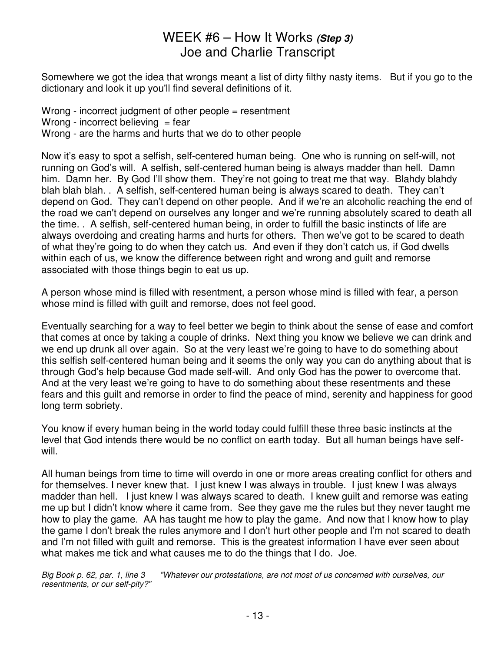Somewhere we got the idea that wrongs meant a list of dirty filthy nasty items. But if you go to the dictionary and look it up you'll find several definitions of it.

Wrong - incorrect judgment of other people = resentment Wrong - incorrect believing  $=$  fear Wrong - are the harms and hurts that we do to other people

Now it's easy to spot a selfish, self-centered human being. One who is running on self-will, not running on God's will. A selfish, self-centered human being is always madder than hell. Damn him. Damn her. By God I'll show them. They're not going to treat me that way. Blahdy blahdy blah blah blah. . A selfish, self-centered human being is always scared to death. They can't depend on God. They can't depend on other people. And if we're an alcoholic reaching the end of the road we can't depend on ourselves any longer and we're running absolutely scared to death all the time. . A selfish, self-centered human being, in order to fulfill the basic instincts of life are always overdoing and creating harms and hurts for others. Then we've got to be scared to death of what they're going to do when they catch us. And even if they don't catch us, if God dwells within each of us, we know the difference between right and wrong and quilt and remorse associated with those things begin to eat us up.

A person whose mind is filled with resentment, a person whose mind is filled with fear, a person whose mind is filled with guilt and remorse, does not feel good.

Eventually searching for a way to feel better we begin to think about the sense of ease and comfort that comes at once by taking a couple of drinks. Next thing you know we believe we can drink and we end up drunk all over again. So at the very least we're going to have to do something about this selfish self-centered human being and it seems the only way you can do anything about that is through God's help because God made self-will. And only God has the power to overcome that. And at the very least we're going to have to do something about these resentments and these fears and this guilt and remorse in order to find the peace of mind, serenity and happiness for good long term sobriety.

You know if every human being in the world today could fulfill these three basic instincts at the level that God intends there would be no conflict on earth today. But all human beings have selfwill.

All human beings from time to time will overdo in one or more areas creating conflict for others and for themselves. I never knew that. I just knew I was always in trouble. I just knew I was always madder than hell. I just knew I was always scared to death. I knew guilt and remorse was eating me up but I didn't know where it came from. See they gave me the rules but they never taught me how to play the game. AA has taught me how to play the game. And now that I know how to play the game I don't break the rules anymore and I don't hurt other people and I'm not scared to death and I'm not filled with guilt and remorse. This is the greatest information I have ever seen about what makes me tick and what causes me to do the things that I do. Joe.

Big Book p. 62, par. 1, line 3 "Whatever our protestations, are not most of us concerned with ourselves, our resentments, or our self-pity?"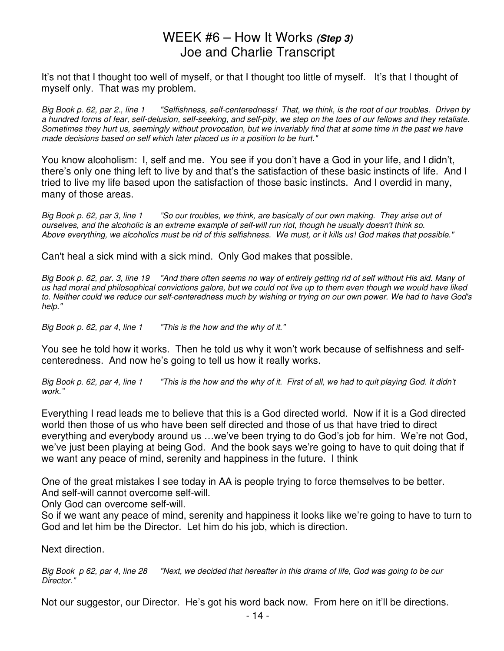It's not that I thought too well of myself, or that I thought too little of myself. It's that I thought of myself only. That was my problem.

Big Book p. 62, par 2., line 1 "Selfishness, self-centeredness! That, we think, is the root of our troubles. Driven by a hundred forms of fear, self-delusion, self-seeking, and self-pity, we step on the toes of our fellows and they retaliate. Sometimes they hurt us, seemingly without provocation, but we invariably find that at some time in the past we have made decisions based on self which later placed us in a position to be hurt."

You know alcoholism: I, self and me. You see if you don't have a God in your life, and I didn't, there's only one thing left to live by and that's the satisfaction of these basic instincts of life. And I tried to live my life based upon the satisfaction of those basic instincts. And I overdid in many, many of those areas.

Big Book p. 62, par 3, line 1 "So our troubles, we think, are basically of our own making. They arise out of ourselves, and the alcoholic is an extreme example of self-will run riot, though he usually doesn't think so. Above everything, we alcoholics must be rid of this selfishness. We must, or it kills us! God makes that possible."

Can't heal a sick mind with a sick mind. Only God makes that possible.

Big Book p. 62, par. 3, line 19 "And there often seems no way of entirely getting rid of self without His aid. Many of us had moral and philosophical convictions galore, but we could not live up to them even though we would have liked to. Neither could we reduce our self-centeredness much by wishing or trying on our own power. We had to have God's help."

Big Book p. 62, par 4, line 1 "This is the how and the why of it."

You see he told how it works. Then he told us why it won't work because of selfishness and selfcenteredness. And now he's going to tell us how it really works.

Big Book p. 62, par 4, line 1 This is the how and the why of it. First of all, we had to quit playing God. It didn't work."

Everything I read leads me to believe that this is a God directed world. Now if it is a God directed world then those of us who have been self directed and those of us that have tried to direct everything and everybody around us …we've been trying to do God's job for him. We're not God, we've just been playing at being God. And the book says we're going to have to quit doing that if we want any peace of mind, serenity and happiness in the future. I think

One of the great mistakes I see today in AA is people trying to force themselves to be better.

And self-will cannot overcome self-will.

Only God can overcome self-will.

So if we want any peace of mind, serenity and happiness it looks like we're going to have to turn to God and let him be the Director. Let him do his job, which is direction.

Next direction.

Big Book p 62, par 4, line 28 "Next, we decided that hereafter in this drama of life, God was going to be our Director."

Not our suggestor, our Director. He's got his word back now. From here on it'll be directions.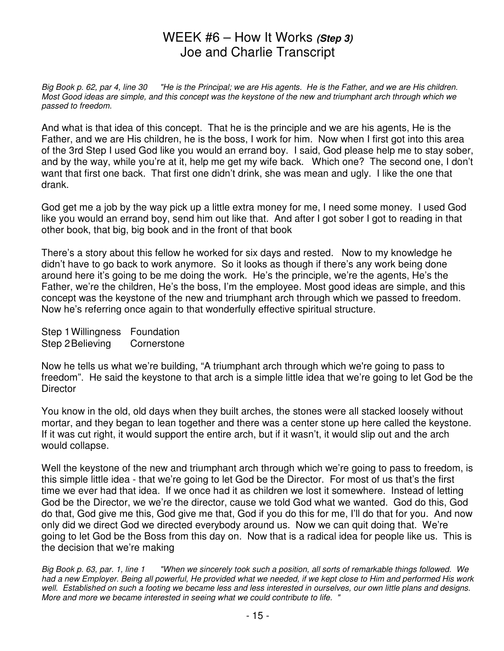Big Book p. 62, par 4, line 30 "He is the Principal; we are His agents. He is the Father, and we are His children. Most Good ideas are simple, and this concept was the keystone of the new and triumphant arch through which we passed to freedom.

And what is that idea of this concept. That he is the principle and we are his agents, He is the Father, and we are His children, he is the boss, I work for him. Now when I first got into this area of the 3rd Step I used God like you would an errand boy. I said, God please help me to stay sober, and by the way, while you're at it, help me get my wife back. Which one? The second one, I don't want that first one back. That first one didn't drink, she was mean and ugly. I like the one that drank.

God get me a job by the way pick up a little extra money for me, I need some money. I used God like you would an errand boy, send him out like that. And after I got sober I got to reading in that other book, that big, big book and in the front of that book

There's a story about this fellow he worked for six days and rested. Now to my knowledge he didn't have to go back to work anymore. So it looks as though if there's any work being done around here it's going to be me doing the work. He's the principle, we're the agents, He's the Father, we're the children, He's the boss, I'm the employee. Most good ideas are simple, and this concept was the keystone of the new and triumphant arch through which we passed to freedom. Now he's referring once again to that wonderfully effective spiritual structure.

Step 1 Willingness Foundation Step 2 Believing Cornerstone

Now he tells us what we're building, "A triumphant arch through which we're going to pass to freedom". He said the keystone to that arch is a simple little idea that we're going to let God be the **Director** 

You know in the old, old days when they built arches, the stones were all stacked loosely without mortar, and they began to lean together and there was a center stone up here called the keystone. If it was cut right, it would support the entire arch, but if it wasn't, it would slip out and the arch would collapse.

Well the keystone of the new and triumphant arch through which we're going to pass to freedom, is this simple little idea - that we're going to let God be the Director. For most of us that's the first time we ever had that idea. If we once had it as children we lost it somewhere. Instead of letting God be the Director, we we're the director, cause we told God what we wanted. God do this, God do that, God give me this, God give me that, God if you do this for me, I'll do that for you. And now only did we direct God we directed everybody around us. Now we can quit doing that. We're going to let God be the Boss from this day on. Now that is a radical idea for people like us. This is the decision that we're making

Big Book p. 63, par. 1, line 1 "When we sincerely took such a position, all sorts of remarkable things followed. We had a new Employer. Being all powerful, He provided what we needed, if we kept close to Him and performed His work well. Established on such a footing we became less and less interested in ourselves, our own little plans and designs. More and more we became interested in seeing what we could contribute to life. "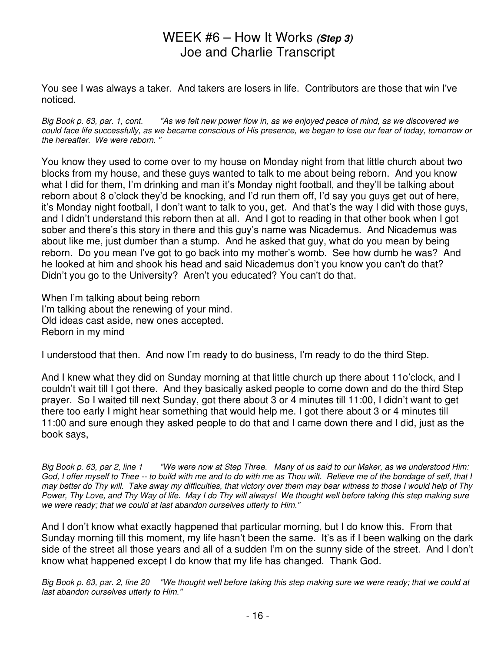You see I was always a taker. And takers are losers in life. Contributors are those that win I've noticed.

Big Book p. 63, par. 1, cont. "As we felt new power flow in, as we enjoyed peace of mind, as we discovered we could face life successfully, as we became conscious of His presence, we began to lose our fear of today, tomorrow or the hereafter. We were reborn. "

You know they used to come over to my house on Monday night from that little church about two blocks from my house, and these guys wanted to talk to me about being reborn. And you know what I did for them, I'm drinking and man it's Monday night football, and they'll be talking about reborn about 8 o'clock they'd be knocking, and I'd run them off, I'd say you guys get out of here, it's Monday night football, I don't want to talk to you, get. And that's the way I did with those guys, and I didn't understand this reborn then at all. And I got to reading in that other book when I got sober and there's this story in there and this guy's name was Nicademus. And Nicademus was about like me, just dumber than a stump. And he asked that guy, what do you mean by being reborn. Do you mean I've got to go back into my mother's womb. See how dumb he was? And he looked at him and shook his head and said Nicademus don't you know you can't do that? Didn't you go to the University? Aren't you educated? You can't do that.

When I'm talking about being reborn I'm talking about the renewing of your mind. Old ideas cast aside, new ones accepted. Reborn in my mind

I understood that then. And now I'm ready to do business, I'm ready to do the third Step.

And I knew what they did on Sunday morning at that little church up there about 11o'clock, and I couldn't wait till I got there. And they basically asked people to come down and do the third Step prayer. So I waited till next Sunday, got there about 3 or 4 minutes till 11:00, I didn't want to get there too early I might hear something that would help me. I got there about 3 or 4 minutes till 11:00 and sure enough they asked people to do that and I came down there and I did, just as the book says,

Big Book p. 63, par 2, line 1 "We were now at Step Three. Many of us said to our Maker, as we understood Him: God, I offer myself to Thee -- to build with me and to do with me as Thou wilt. Relieve me of the bondage of self, that I may better do Thy will. Take away my difficulties, that victory over them may bear witness to those I would help of Thy Power, Thy Love, and Thy Way of life. May I do Thy will always! We thought well before taking this step making sure we were ready; that we could at last abandon ourselves utterly to Him."

And I don't know what exactly happened that particular morning, but I do know this. From that Sunday morning till this moment, my life hasn't been the same. It's as if I been walking on the dark side of the street all those years and all of a sudden I'm on the sunny side of the street. And I don't know what happened except I do know that my life has changed. Thank God.

Big Book p. 63, par. 2, line 20 "We thought well before taking this step making sure we were ready; that we could at last abandon ourselves utterly to Him."